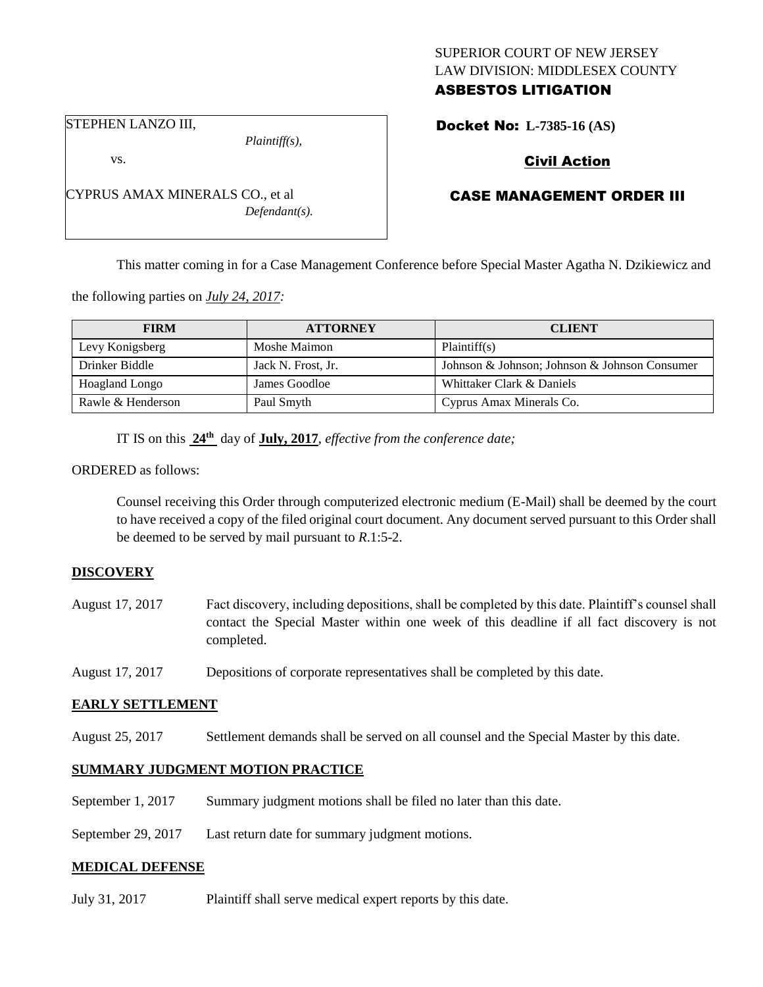# SUPERIOR COURT OF NEW JERSEY LAW DIVISION: MIDDLESEX COUNTY ASBESTOS LITIGATION

STEPHEN LANZO III,

vs.

*Plaintiff(s),*

*Defendant(s).*

Docket No: **L-7385-16 (AS)** 

# Civil Action

## CASE MANAGEMENT ORDER III

This matter coming in for a Case Management Conference before Special Master Agatha N. Dzikiewicz and

the following parties on *July 24, 2017:*

CYPRUS AMAX MINERALS CO., et al

| <b>FIRM</b>       | <b>ATTORNEY</b>    | <b>CLIENT</b>                                 |
|-------------------|--------------------|-----------------------------------------------|
| Levy Konigsberg   | Moshe Maimon       | Plaintiff(s)                                  |
| Drinker Biddle    | Jack N. Frost, Jr. | Johnson & Johnson; Johnson & Johnson Consumer |
| Hoagland Longo    | James Goodloe      | Whittaker Clark & Daniels                     |
| Rawle & Henderson | Paul Smyth         | Cyprus Amax Minerals Co.                      |

IT IS on this **24th** day of **July, 2017**, *effective from the conference date;*

#### ORDERED as follows:

Counsel receiving this Order through computerized electronic medium (E-Mail) shall be deemed by the court to have received a copy of the filed original court document. Any document served pursuant to this Order shall be deemed to be served by mail pursuant to *R*.1:5-2.

### **DISCOVERY**

- August 17, 2017 Fact discovery, including depositions, shall be completed by this date. Plaintiff's counsel shall contact the Special Master within one week of this deadline if all fact discovery is not completed.
- August 17, 2017 Depositions of corporate representatives shall be completed by this date.

#### **EARLY SETTLEMENT**

August 25, 2017 Settlement demands shall be served on all counsel and the Special Master by this date.

# **SUMMARY JUDGMENT MOTION PRACTICE**

- September 1, 2017 Summary judgment motions shall be filed no later than this date.
- September 29, 2017 Last return date for summary judgment motions.

#### **MEDICAL DEFENSE**

July 31, 2017 Plaintiff shall serve medical expert reports by this date.